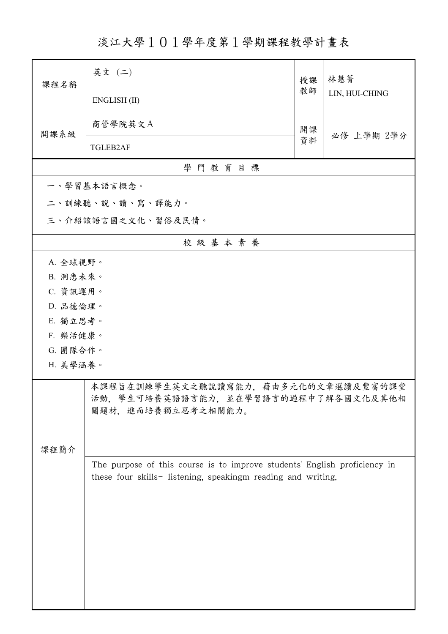淡江大學101學年度第1學期課程教學計畫表

| 課程名稱               | 英文 (二)                                                                     | 授課 | 林慧菁<br>LIN, HUI-CHING |  |  |  |
|--------------------|----------------------------------------------------------------------------|----|-----------------------|--|--|--|
|                    | ENGLISH (II)                                                               | 教師 |                       |  |  |  |
| 開課系級               | 商管學院英文A                                                                    | 開課 | 必修 上學期 2學分            |  |  |  |
|                    | <b>TGLEB2AF</b>                                                            | 資料 |                       |  |  |  |
|                    | 學門教育目標                                                                     |    |                       |  |  |  |
|                    | 一、學習基本語言概念。                                                                |    |                       |  |  |  |
|                    | 二、訓練聽、說、讀、寫、譯能力。                                                           |    |                       |  |  |  |
| 三、介紹該語言國之文化、習俗及民情。 |                                                                            |    |                       |  |  |  |
|                    | 校級基本素養                                                                     |    |                       |  |  |  |
| A. 全球視野。           |                                                                            |    |                       |  |  |  |
| B. 洞悉未來。           |                                                                            |    |                       |  |  |  |
| C. 資訊運用。           |                                                                            |    |                       |  |  |  |
|                    | D. 品德倫理。                                                                   |    |                       |  |  |  |
| E. 獨立思考。           |                                                                            |    |                       |  |  |  |
| F. 樂活健康。           |                                                                            |    |                       |  |  |  |
| G. 團隊合作。           |                                                                            |    |                       |  |  |  |
| H. 美學涵養。           |                                                                            |    |                       |  |  |  |
|                    | 本課程旨在訓練學生英文之聽說讀寫能力,藉由多元化的文章選讀及豐富的課堂<br>活動,學生可培養英語語言能力,並在學習語言的過程中了解各國文化及其他相 |    |                       |  |  |  |
|                    |                                                                            |    |                       |  |  |  |
|                    | 關題材,進而培養獨立思考之相關能力。                                                         |    |                       |  |  |  |
|                    |                                                                            |    |                       |  |  |  |
| 課程簡介               |                                                                            |    |                       |  |  |  |
|                    | The purpose of this course is to improve students' English proficiency in  |    |                       |  |  |  |
|                    | these four skills- listening, speakingm reading and writing.               |    |                       |  |  |  |
|                    |                                                                            |    |                       |  |  |  |
|                    |                                                                            |    |                       |  |  |  |
|                    |                                                                            |    |                       |  |  |  |
|                    |                                                                            |    |                       |  |  |  |
|                    |                                                                            |    |                       |  |  |  |
|                    |                                                                            |    |                       |  |  |  |
|                    |                                                                            |    |                       |  |  |  |
|                    |                                                                            |    |                       |  |  |  |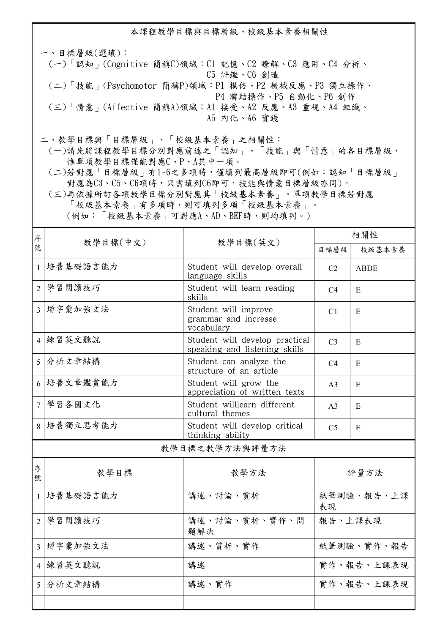本課程教學目標與目標層級、校級基本素養相關性

一、目標層級(選填): (一)「認知」(Cognitive 簡稱C)領域:C1 記憶、C2 瞭解、C3 應用、C4 分析、 C5 評鑑、C6 創造 (二)「技能」(Psychomotor 簡稱P)領域:P1 模仿、P2 機械反應、P3 獨立操作、 P4 聯結操作、P5 自動化、P6 創作 (三)「情意」(Affective 簡稱A)領域:A1 接受、A2 反應、A3 重視、A4 組織、 A5 內化、A6 實踐

二、教學目標與「目標層級」、「校級基本素養」之相關性:

 (一)請先將課程教學目標分別對應前述之「認知」、「技能」與「情意」的各目標層級, 惟單項教學目標僅能對應C、P、A其中一項。

 (二)若對應「目標層級」有1~6之多項時,僅填列最高層級即可(例如:認知「目標層級」 對應為C3、C5、C6項時,只需填列C6即可,技能與情意目標層級亦同)。

 (三)再依據所訂各項教學目標分別對應其「校級基本素養」。單項教學目標若對應 「校級基本素養」有多項時,則可填列多項「校級基本素養」。 (例如:「校級基本素養」可對應A、AD、BEF時,則均填列。)

| 序              | 教學目標(中文)                                 |                                                                 | 相關性            |             |  |
|----------------|------------------------------------------|-----------------------------------------------------------------|----------------|-------------|--|
| 號              |                                          | 教學目標(英文)                                                        | 目標層級           | 校級基本素養      |  |
| $\mathbf{1}$   | 培養基礎語言能力                                 | Student will develop overall<br>language skills                 | C <sub>2</sub> | <b>ABDE</b> |  |
| $\overline{2}$ | 學習閱讀技巧                                   | Student will learn reading<br>skills                            | C <sub>4</sub> | E           |  |
| $\overline{3}$ | 增字彙加強文法                                  | Student will improve<br>grammar and increase<br>vocabulary      | C <sub>1</sub> | E           |  |
|                | 4 練習英文聽說                                 | Student will develop practical<br>speaking and listening skills | C <sub>3</sub> | E           |  |
| 5 <sup>1</sup> | 分析文章結構                                   | Student can analyze the<br>structure of an article              | C <sub>4</sub> | E           |  |
|                | 6 培養文章鑑賞能力                               | Student will grow the<br>appreciation of written texts          | A <sub>3</sub> | E           |  |
|                | 7 學習各國文化                                 | Student willlearn different<br>cultural themes                  | A <sub>3</sub> | E           |  |
|                | 8 培養獨立思考能力                               | Student will develop critical<br>thinking ability               | C <sub>5</sub> | E           |  |
| 教學目標之教學方法與評量方法 |                                          |                                                                 |                |             |  |
| 序<br>號         | 教學目標                                     | 教學方法                                                            | 評量方法           |             |  |
| $\mathbf{1}$   | 講述、討論、賞析<br>紙筆測驗、報告、上課<br>培養基礎語言能力<br>表現 |                                                                 |                |             |  |
| $\overline{2}$ | 學習閱讀技巧                                   | 講述、討論、賞析、實作、問<br>題解決                                            | 報告、上課表現        |             |  |
|                | 3 增字彙加強文法                                | 講述、賞析、實作                                                        | 紙筆測驗、實作、報告     |             |  |
|                | 4 練習英文聽說                                 | 講述                                                              | 實作、報告、上課表現     |             |  |
|                | 5 分析文章結構                                 | 講述、實作                                                           | 實作、報告、上課表現     |             |  |
|                |                                          |                                                                 |                |             |  |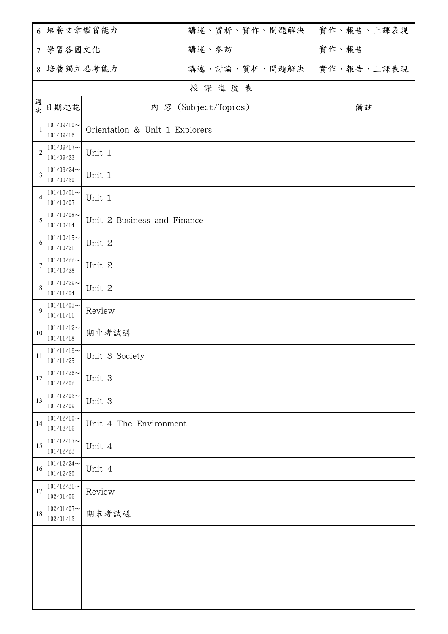|                 | 6 培養文章鑑賞能力                          |                                | 講述、賞析、實作、問題解決 | 實作、報告、上課表現 |  |  |  |  |
|-----------------|-------------------------------------|--------------------------------|---------------|------------|--|--|--|--|
| $7\overline{ }$ | 學習各國文化                              |                                | 講述、參訪         | 實作、報告      |  |  |  |  |
|                 | 8 培養獨立思考能力                          |                                | 講述、討論、賞析、問題解決 | 實作、報告、上課表現 |  |  |  |  |
|                 | 授課進度表                               |                                |               |            |  |  |  |  |
| 週次              | 日期起訖                                | 内 容 (Subject/Topics)           |               | 備註         |  |  |  |  |
| 1               | $101/09/10$ ~<br>101/09/16          | Orientation & Unit 1 Explorers |               |            |  |  |  |  |
| $\overline{2}$  | $101/09/17$ ~<br>101/09/23          | Unit 1                         |               |            |  |  |  |  |
| 3               | $101/09/24$ ~<br>101/09/30          | Unit 1                         |               |            |  |  |  |  |
| 4               | $101/10/01$ ~<br>101/10/07          | Unit 1                         |               |            |  |  |  |  |
| 5               | $101/10/08$ ~<br>101/10/14          | Unit 2 Business and Finance    |               |            |  |  |  |  |
| 6               | $101/10/15$ ~<br>101/10/21          | Unit 2                         |               |            |  |  |  |  |
| 7               | $101/10/22$ ~<br>101/10/28          | Unit 2                         |               |            |  |  |  |  |
| 8               | $101/10/29$ ~<br>101/11/04          | Unit 2                         |               |            |  |  |  |  |
| 9               | $101/11/05$ ~<br>101/11/11          | Review                         |               |            |  |  |  |  |
| 10              | $101/11/12$ ~<br>101/11/18          | 期中考試週                          |               |            |  |  |  |  |
| $11\,$          | $101/11/19$ ~<br>101/11/25          | Unit 3 Society                 |               |            |  |  |  |  |
| 12              | $101/11/26$ ~<br>101/12/02          | Unit 3                         |               |            |  |  |  |  |
| 13              | $101/12/03$ ~<br>101/12/09          | Unit 3                         |               |            |  |  |  |  |
| 14              | $101/12/10$ ~<br>101/12/16          | Unit 4 The Environment         |               |            |  |  |  |  |
| 15              | $101/12/17$ ~<br>101/12/23          | Unit 4                         |               |            |  |  |  |  |
| 16              | $101/12/24$ ~<br>101/12/30          | Unit 4                         |               |            |  |  |  |  |
| 17              | $101/12/31$ ~<br>102/01/06          | Review                         |               |            |  |  |  |  |
| 18              | $102/01/07$ ~<br>期末考試週<br>102/01/13 |                                |               |            |  |  |  |  |
|                 |                                     |                                |               |            |  |  |  |  |
|                 |                                     |                                |               |            |  |  |  |  |
|                 |                                     |                                |               |            |  |  |  |  |
|                 |                                     |                                |               |            |  |  |  |  |